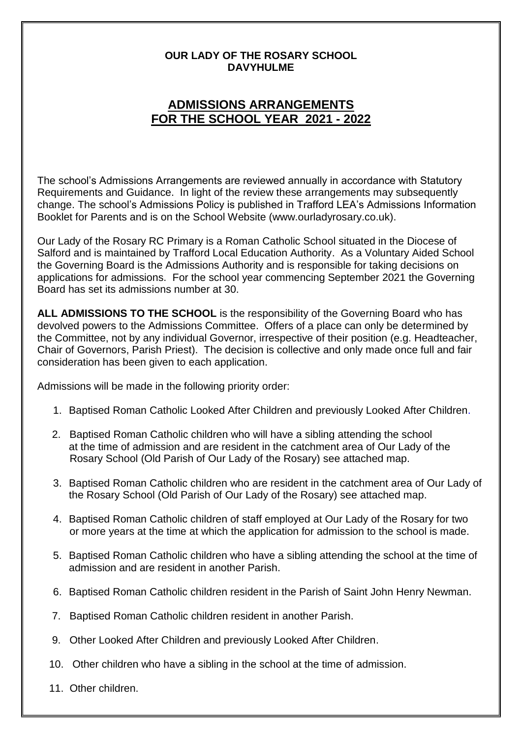#### **OUR LADY OF THE ROSARY SCHOOL DAVYHULME**

# **ADMISSIONS ARRANGEMENTS FOR THE SCHOOL YEAR 2021 - 2022**

The school's Admissions Arrangements are reviewed annually in accordance with Statutory Requirements and Guidance. In light of the review these arrangements may subsequently change. The school's Admissions Policy is published in Trafford LEA's Admissions Information Booklet for Parents and is on the School Website (www.ourladyrosary.co.uk).

Our Lady of the Rosary RC Primary is a Roman Catholic School situated in the Diocese of Salford and is maintained by Trafford Local Education Authority. As a Voluntary Aided School the Governing Board is the Admissions Authority and is responsible for taking decisions on applications for admissions. For the school year commencing September 2021 the Governing Board has set its admissions number at 30.

**ALL ADMISSIONS TO THE SCHOOL** is the responsibility of the Governing Board who has devolved powers to the Admissions Committee. Offers of a place can only be determined by the Committee, not by any individual Governor, irrespective of their position (e.g. Headteacher, Chair of Governors, Parish Priest). The decision is collective and only made once full and fair consideration has been given to each application.

Admissions will be made in the following priority order:

- 1. Baptised Roman Catholic Looked After Children and previously Looked After Children.
- 2. Baptised Roman Catholic children who will have a sibling attending the school at the time of admission and are resident in the catchment area of Our Lady of the Rosary School (Old Parish of Our Lady of the Rosary) see attached map.
- 3. Baptised Roman Catholic children who are resident in the catchment area of Our Lady of the Rosary School (Old Parish of Our Lady of the Rosary) see attached map.
- 4. Baptised Roman Catholic children of staff employed at Our Lady of the Rosary for two or more years at the time at which the application for admission to the school is made.
- 5. Baptised Roman Catholic children who have a sibling attending the school at the time of admission and are resident in another Parish.
- 6. Baptised Roman Catholic children resident in the Parish of Saint John Henry Newman.
- 7. Baptised Roman Catholic children resident in another Parish.
- 9. Other Looked After Children and previously Looked After Children.
- 10. Other children who have a sibling in the school at the time of admission.
- 11. Other children.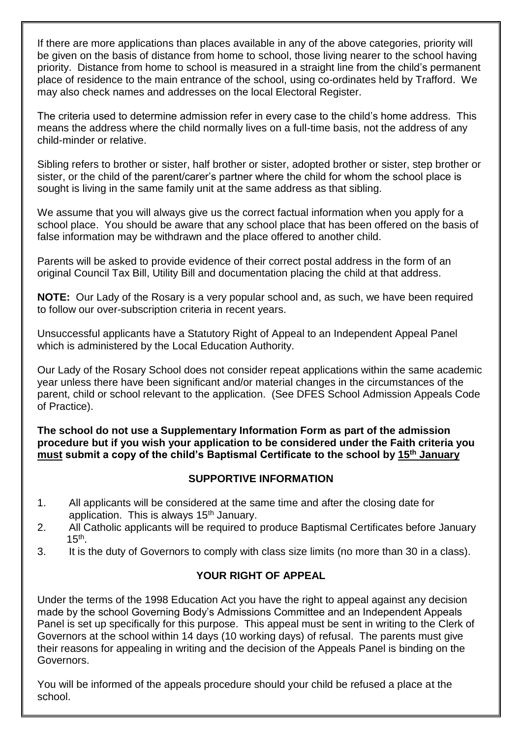If there are more applications than places available in any of the above categories, priority will be given on the basis of distance from home to school, those living nearer to the school having priority. Distance from home to school is measured in a straight line from the child's permanent place of residence to the main entrance of the school, using co-ordinates held by Trafford. We may also check names and addresses on the local Electoral Register.

The criteria used to determine admission refer in every case to the child's home address. This means the address where the child normally lives on a full-time basis, not the address of any child-minder or relative.

Sibling refers to brother or sister, half brother or sister, adopted brother or sister, step brother or sister, or the child of the parent/carer's partner where the child for whom the school place is sought is living in the same family unit at the same address as that sibling.

We assume that you will always give us the correct factual information when you apply for a school place. You should be aware that any school place that has been offered on the basis of false information may be withdrawn and the place offered to another child.

Parents will be asked to provide evidence of their correct postal address in the form of an original Council Tax Bill, Utility Bill and documentation placing the child at that address.

**NOTE:** Our Lady of the Rosary is a very popular school and, as such, we have been required to follow our over-subscription criteria in recent years.

Unsuccessful applicants have a Statutory Right of Appeal to an Independent Appeal Panel which is administered by the Local Education Authority.

Our Lady of the Rosary School does not consider repeat applications within the same academic year unless there have been significant and/or material changes in the circumstances of the parent, child or school relevant to the application. (See DFES School Admission Appeals Code of Practice).

**The school do not use a Supplementary Information Form as part of the admission procedure but if you wish your application to be considered under the Faith criteria you must submit a copy of the child's Baptismal Certificate to the school by 15th January**

## **SUPPORTIVE INFORMATION**

- 1. All applicants will be considered at the same time and after the closing date for application. This is always 15<sup>th</sup> January.
- 2. All Catholic applicants will be required to produce Baptismal Certificates before January  $15^{th}$ .
- 3. It is the duty of Governors to comply with class size limits (no more than 30 in a class).

## **YOUR RIGHT OF APPEAL**

Under the terms of the 1998 Education Act you have the right to appeal against any decision made by the school Governing Body's Admissions Committee and an Independent Appeals Panel is set up specifically for this purpose. This appeal must be sent in writing to the Clerk of Governors at the school within 14 days (10 working days) of refusal. The parents must give their reasons for appealing in writing and the decision of the Appeals Panel is binding on the Governors.

You will be informed of the appeals procedure should your child be refused a place at the school.